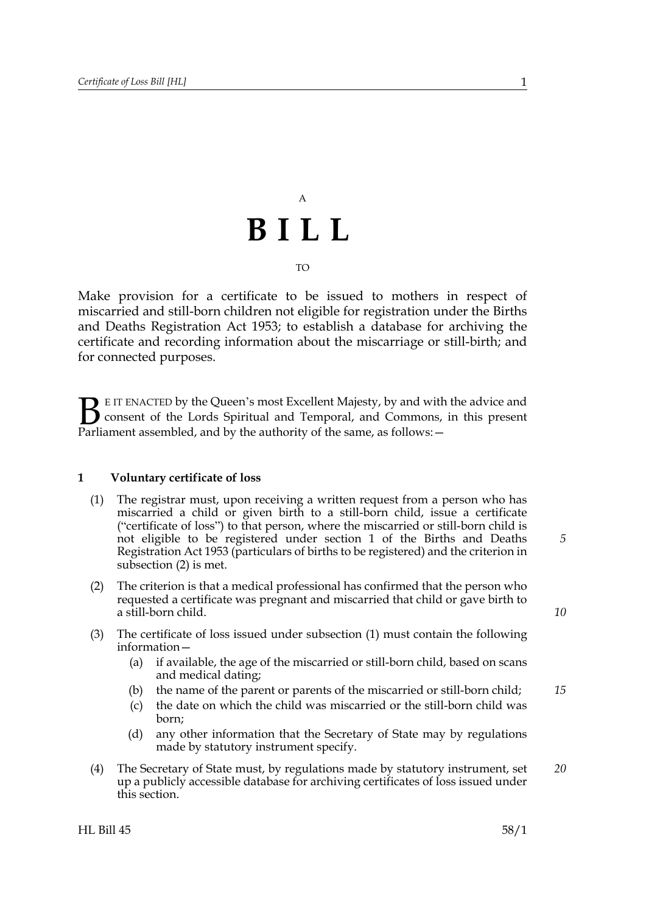## A **BILL** TO

Make provision for a certificate to be issued to mothers in respect of miscarried and still-born children not eligible for registration under the Births and Deaths Registration Act 1953; to establish a database for archiving the certificate and recording information about the miscarriage or still-birth; and for connected purposes.

E IT ENACTED by the Queen's most Excellent Majesty, by and with the advice and consent of the Lords Spiritual and Temporal, and Commons, in this present **B** E IT ENACTED by the Queen's most Excellent Majesty, by and with consent of the Lords Spiritual and Temporal, and Commons, Parliament assembled, and by the authority of the same, as follows:  $-$ 

### <span id="page-0-2"></span>**1 Voluntary certificate of loss**

- <span id="page-0-1"></span>(1) The registrar must, upon receiving a written request from a person who has miscarried a child or given birth to a still-born child, issue a certificate ("certificate of loss") to that person, where the miscarried or still-born child is not eligible to be registered under section 1 of the Births and Deaths Registration Act 1953 (particulars of births to be registered) and the criterion in subsection [\(2\)](#page-0-0) is met.
- <span id="page-0-0"></span>(2) The criterion is that a medical professional has confirmed that the person who requested a certificate was pregnant and miscarried that child or gave birth to a still-born child.
- (3) The certificate of loss issued under subsection [\(1\)](#page-0-1) must contain the following information—
	- (a) if available, the age of the miscarried or still-born child, based on scans and medical dating;
	- (b) the name of the parent or parents of the miscarried or still-born child; *15*
	- (c) the date on which the child was miscarried or the still-born child was born;
	- (d) any other information that the Secretary of State may by regulations made by statutory instrument specify.
- <span id="page-0-3"></span>(4) The Secretary of State must, by regulations made by statutory instrument, set up a publicly accessible database for archiving certificates of loss issued under this section. *20*

*10*

*5*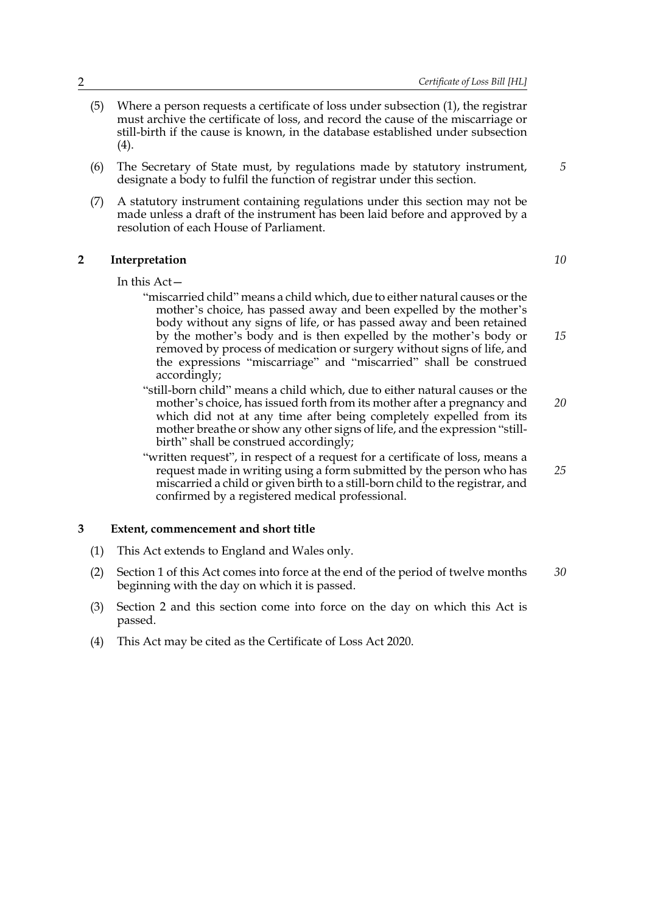- (5) Where a person requests a certificate of loss under subsection [\(1\)](#page-0-1), the registrar must archive the certificate of loss, and record the cause of the miscarriage or still-birth if the cause is known, in the database established under subsection [\(4\).](#page-0-3)
- (6) The Secretary of State must, by regulations made by statutory instrument, designate a body to fulfil the function of registrar under this section.
- (7) A statutory instrument containing regulations under this section may not be made unless a draft of the instrument has been laid before and approved by a resolution of each House of Parliament.

#### <span id="page-1-0"></span>**2 Interpretation**

In this Act—

- "miscarried child" means a child which, due to either natural causes or the mother's choice, has passed away and been expelled by the mother's body without any signs of life, or has passed away and been retained by the mother's body and is then expelled by the mother's body or removed by process of medication or surgery without signs of life, and the expressions "miscarriage" and "miscarried" shall be construed accordingly;
- "still-born child" means a child which, due to either natural causes or the mother's choice, has issued forth from its mother after a pregnancy and which did not at any time after being completely expelled from its mother breathe or show any other signs of life, and the expression "stillbirth" shall be construed accordingly; *20*
- "written request", in respect of a request for a certificate of loss, means a request made in writing using a form submitted by the person who has miscarried a child or given birth to a still-born child to the registrar, and confirmed by a registered medical professional.

#### **3 Extent, commencement and short title**

- (1) This Act extends to England and Wales only.
- (2) Section [1](#page-0-2) of this Act comes into force at the end of the period of twelve months beginning with the day on which it is passed. *30*
- (3) Section [2](#page-1-0) and this section come into force on the day on which this Act is passed.
- (4) This Act may be cited as the Certificate of Loss Act 2020.

*5*

*15*

*25*

*10*